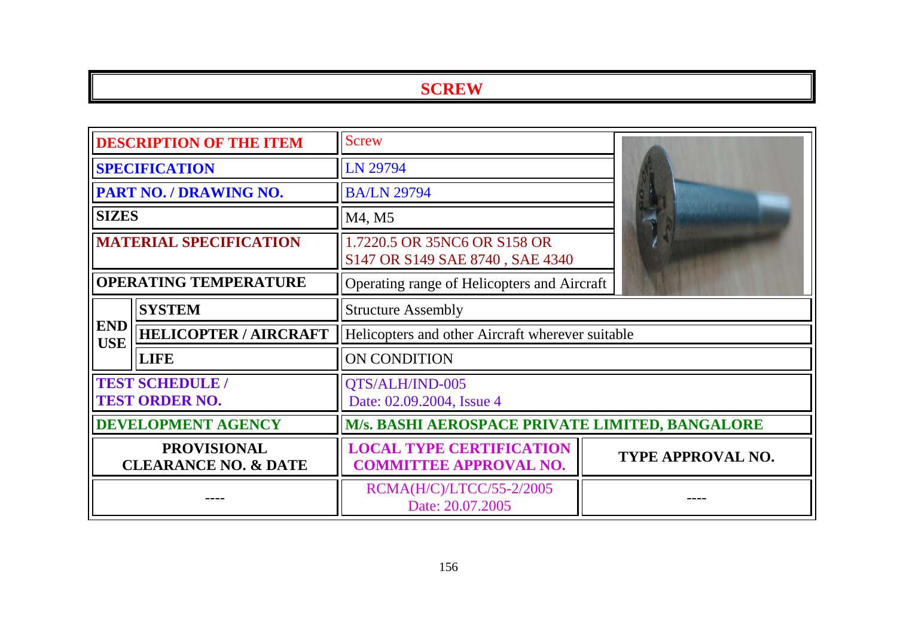| <b>DESCRIPTION OF THE ITEM</b>                        |                              | <b>Screw</b>                                                     |  |                          |
|-------------------------------------------------------|------------------------------|------------------------------------------------------------------|--|--------------------------|
|                                                       | <b>SPECIFICATION</b>         | LN 29794                                                         |  |                          |
|                                                       | PART NO. / DRAWING NO.       | <b>BA/LN 29794</b>                                               |  |                          |
| <b>SIZES</b>                                          |                              | M4, M5                                                           |  |                          |
| <b>MATERIAL SPECIFICATION</b>                         |                              | 1.7220.5 OR 35NC6 OR S158 OR<br>S147 OR S149 SAE 8740, SAE 4340  |  |                          |
|                                                       | <b>OPERATING TEMPERATURE</b> | Operating range of Helicopters and Aircraft                      |  |                          |
|                                                       | <b>SYSTEM</b>                | <b>Structure Assembly</b>                                        |  |                          |
| <b>END</b><br><b>USE</b>                              | <b>HELICOPTER / AIRCRAFT</b> | Helicopters and other Aircraft wherever suitable                 |  |                          |
|                                                       | <b>LIFE</b>                  | ON CONDITION                                                     |  |                          |
| <b>TEST SCHEDULE /</b><br><b>TEST ORDER NO.</b>       |                              | QTS/ALH/IND-005<br>Date: 02.09.2004, Issue 4                     |  |                          |
| <b>DEVELOPMENT AGENCY</b>                             |                              | M/s. BASHI AEROSPACE PRIVATE LIMITED, BANGALORE                  |  |                          |
| <b>PROVISIONAL</b><br><b>CLEARANCE NO. &amp; DATE</b> |                              | <b>LOCAL TYPE CERTIFICATION</b><br><b>COMMITTEE APPROVAL NO.</b> |  | <b>TYPE APPROVAL NO.</b> |
|                                                       |                              | RCMA(H/C)/LTCC/55-2/2005<br>Date: 20.07.2005                     |  |                          |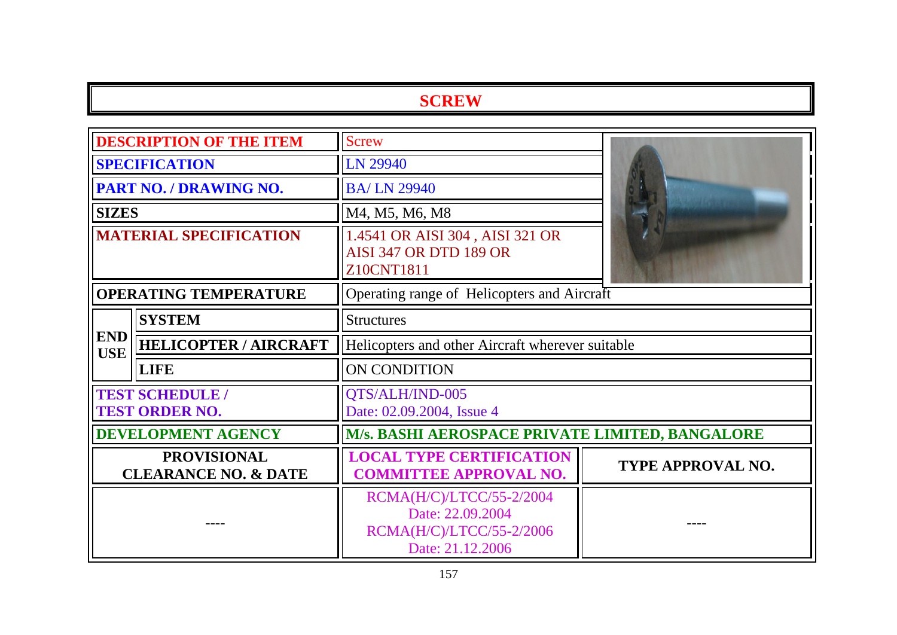| <b>DESCRIPTION OF THE ITEM</b>                        |                                                 | <b>Screw</b>                                                                                 |                          |  |
|-------------------------------------------------------|-------------------------------------------------|----------------------------------------------------------------------------------------------|--------------------------|--|
| <b>SPECIFICATION</b>                                  |                                                 | LN 29940                                                                                     |                          |  |
|                                                       | <b>PART NO. / DRAWING NO.</b>                   | <b>BA/LN 29940</b>                                                                           |                          |  |
| <b>SIZES</b>                                          |                                                 | M4, M5, M6, M8                                                                               |                          |  |
| <b>MATERIAL SPECIFICATION</b>                         |                                                 | 1.4541 OR AISI 304, AISI 321 OR<br><b>AISI 347 OR DTD 189 OR</b><br>Z10CNT1811               |                          |  |
|                                                       | <b>OPERATING TEMPERATURE</b>                    | Operating range of Helicopters and Aircraft                                                  |                          |  |
| <b>SYSTEM</b>                                         |                                                 | <b>Structures</b>                                                                            |                          |  |
| <b>END</b><br><b>USE</b>                              | <b>HELICOPTER / AIRCRAFT</b>                    | Helicopters and other Aircraft wherever suitable                                             |                          |  |
|                                                       | <b>LIFE</b>                                     | <b>ON CONDITION</b>                                                                          |                          |  |
|                                                       | <b>TEST SCHEDULE /</b><br><b>TEST ORDER NO.</b> | QTS/ALH/IND-005<br>Date: 02.09.2004, Issue 4                                                 |                          |  |
|                                                       | <b>DEVELOPMENT AGENCY</b>                       | M/s. BASHI AEROSPACE PRIVATE LIMITED, BANGALORE                                              |                          |  |
| <b>PROVISIONAL</b><br><b>CLEARANCE NO. &amp; DATE</b> |                                                 | <b>LOCAL TYPE CERTIFICATION</b><br><b>COMMITTEE APPROVAL NO.</b>                             | <b>TYPE APPROVAL NO.</b> |  |
|                                                       |                                                 | RCMA(H/C)/LTCC/55-2/2004<br>Date: 22.09.2004<br>RCMA(H/C)/LTCC/55-2/2006<br>Date: 21.12.2006 |                          |  |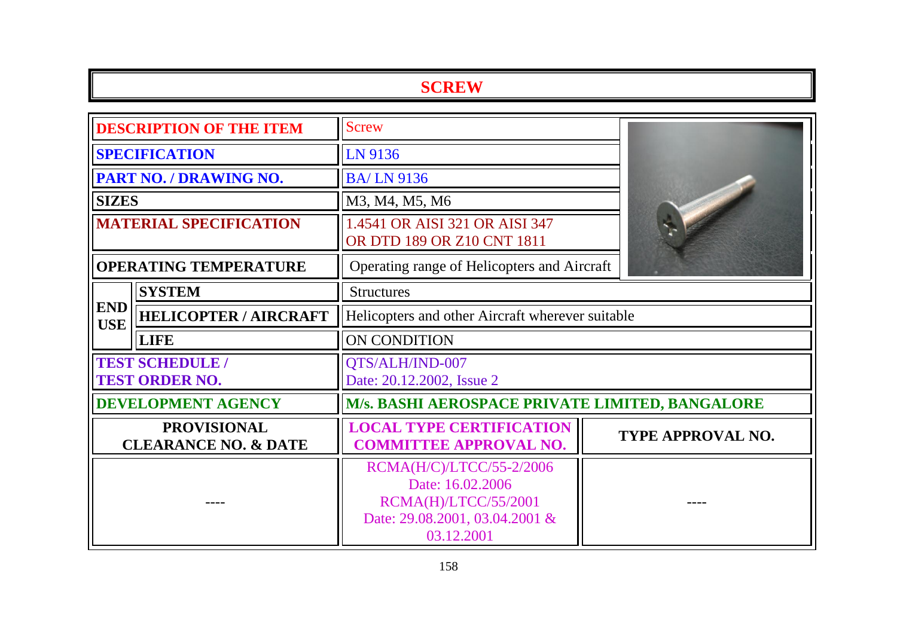| <b>DESCRIPTION OF THE ITEM</b>                        |                              | <b>Screw</b>                                                                                                                |                          |  |
|-------------------------------------------------------|------------------------------|-----------------------------------------------------------------------------------------------------------------------------|--------------------------|--|
| <b>SPECIFICATION</b>                                  |                              | LN 9136                                                                                                                     |                          |  |
|                                                       | PART NO. / DRAWING NO.       | <b>BA/LN9136</b>                                                                                                            |                          |  |
| <b>SIZES</b>                                          |                              | M3, M4, M5, M6                                                                                                              |                          |  |
| <b>MATERIAL SPECIFICATION</b>                         |                              | 1.4541 OR AISI 321 OR AISI 347<br>OR DTD 189 OR Z10 CNT 1811                                                                |                          |  |
|                                                       | <b>OPERATING TEMPERATURE</b> | Operating range of Helicopters and Aircraft                                                                                 |                          |  |
|                                                       | <b>SYSTEM</b>                | <b>Structures</b>                                                                                                           |                          |  |
| <b>END</b><br><b>USE</b>                              | <b>HELICOPTER / AIRCRAFT</b> | Helicopters and other Aircraft wherever suitable                                                                            |                          |  |
|                                                       | <b>LIFE</b>                  | ON CONDITION                                                                                                                |                          |  |
| <b>TEST SCHEDULE /</b><br><b>TEST ORDER NO.</b>       |                              | QTS/ALH/IND-007<br>Date: 20.12.2002, Issue 2                                                                                |                          |  |
|                                                       | <b>DEVELOPMENT AGENCY</b>    | M/s. BASHI AEROSPACE PRIVATE LIMITED, BANGALORE                                                                             |                          |  |
| <b>PROVISIONAL</b><br><b>CLEARANCE NO. &amp; DATE</b> |                              | <b>LOCAL TYPE CERTIFICATION</b><br><b>COMMITTEE APPROVAL NO.</b>                                                            | <b>TYPE APPROVAL NO.</b> |  |
|                                                       |                              | RCMA(H/C)/LTCC/55-2/2006<br>Date: 16.02.2006<br><b>RCMA(H)/LTCC/55/2001</b><br>Date: 29.08.2001, 03.04.2001 &<br>03.12.2001 |                          |  |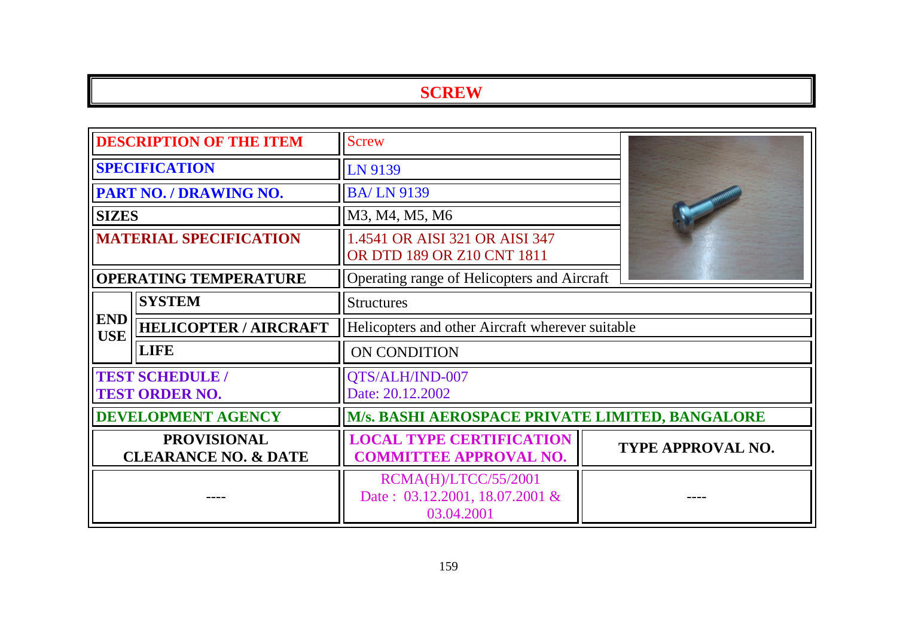| <b>DESCRIPTION OF THE ITEM</b>                        |                                                 | <b>Screw</b>                                                         |                          |  |
|-------------------------------------------------------|-------------------------------------------------|----------------------------------------------------------------------|--------------------------|--|
| <b>SPECIFICATION</b>                                  |                                                 | LN 9139                                                              |                          |  |
|                                                       | <b>PART NO. / DRAWING NO.</b>                   | <b>BA/LN 9139</b>                                                    |                          |  |
| <b>SIZES</b>                                          |                                                 | M3, M4, M5, M6                                                       |                          |  |
|                                                       | <b>MATERIAL SPECIFICATION</b>                   | 1.4541 OR AISI 321 OR AISI 347<br>OR DTD 189 OR Z10 CNT 1811         |                          |  |
|                                                       | <b>OPERATING TEMPERATURE</b>                    | Operating range of Helicopters and Aircraft                          |                          |  |
|                                                       | <b>SYSTEM</b>                                   | <b>Structures</b>                                                    |                          |  |
| <b>END</b><br><b>USE</b>                              | <b>HELICOPTER / AIRCRAFT</b>                    | Helicopters and other Aircraft wherever suitable                     |                          |  |
|                                                       | <b>LIFE</b>                                     | ON CONDITION                                                         |                          |  |
|                                                       | <b>TEST SCHEDULE /</b><br><b>TEST ORDER NO.</b> | QTS/ALH/IND-007<br>Date: 20.12.2002                                  |                          |  |
| <b>DEVELOPMENT AGENCY</b>                             |                                                 | M/s. BASHI AEROSPACE PRIVATE LIMITED, BANGALORE                      |                          |  |
| <b>PROVISIONAL</b><br><b>CLEARANCE NO. &amp; DATE</b> |                                                 | <b>LOCAL TYPE CERTIFICATION</b><br><b>COMMITTEE APPROVAL NO.</b>     | <b>TYPE APPROVAL NO.</b> |  |
|                                                       |                                                 | RCMA(H)/LTCC/55/2001<br>Date: 03.12.2001, 18.07.2001 &<br>03.04.2001 |                          |  |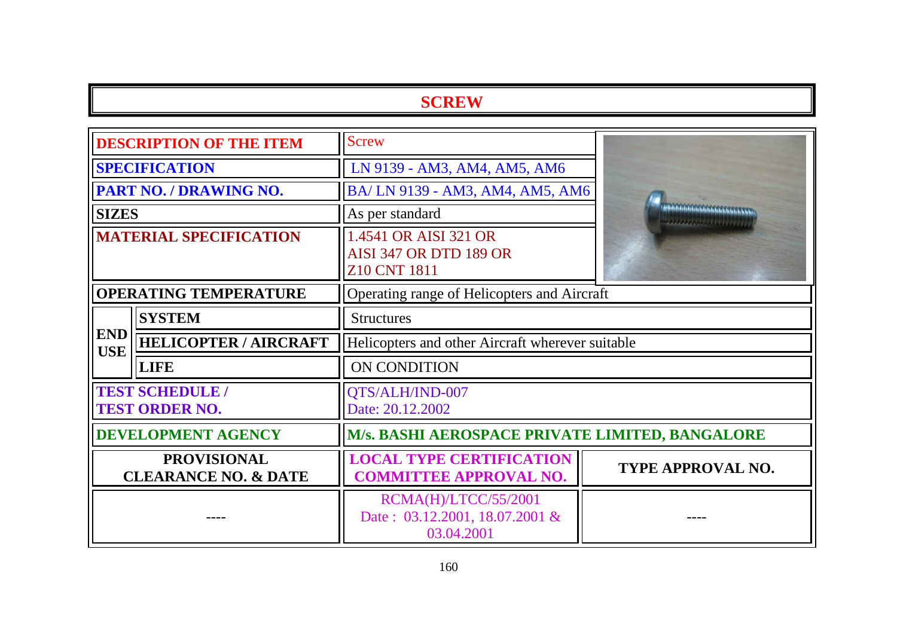| <b>DESCRIPTION OF THE ITEM</b>                        |                              | <b>Screw</b>                                                           |                                                                            |  |
|-------------------------------------------------------|------------------------------|------------------------------------------------------------------------|----------------------------------------------------------------------------|--|
| <b>SPECIFICATION</b>                                  |                              | LN 9139 - AM3, AM4, AM5, AM6                                           |                                                                            |  |
|                                                       | PART NO. / DRAWING NO.       | BA/LN 9139 - AM3, AM4, AM5, AM6                                        |                                                                            |  |
| <b>SIZES</b>                                          |                              | As per standard                                                        | <b>Principal Control Department Control</b><br><u> Tarra Martin (1999)</u> |  |
| <b>MATERIAL SPECIFICATION</b>                         |                              | 1.4541 OR AISI 321 OR<br><b>AISI 347 OR DTD 189 OR</b><br>Z10 CNT 1811 |                                                                            |  |
|                                                       | <b>OPERATING TEMPERATURE</b> | Operating range of Helicopters and Aircraft                            |                                                                            |  |
| <b>SYSTEM</b>                                         |                              | <b>Structures</b>                                                      |                                                                            |  |
| <b>END</b><br><b>USE</b>                              | <b>HELICOPTER / AIRCRAFT</b> | Helicopters and other Aircraft wherever suitable                       |                                                                            |  |
|                                                       | <b>LIFE</b>                  | ON CONDITION                                                           |                                                                            |  |
| <b>TEST SCHEDULE /</b><br><b>TEST ORDER NO.</b>       |                              | QTS/ALH/IND-007<br>Date: 20.12.2002                                    |                                                                            |  |
| <b>DEVELOPMENT AGENCY</b>                             |                              | M/s. BASHI AEROSPACE PRIVATE LIMITED, BANGALORE                        |                                                                            |  |
| <b>PROVISIONAL</b><br><b>CLEARANCE NO. &amp; DATE</b> |                              | <b>LOCAL TYPE CERTIFICATION</b><br><b>COMMITTEE APPROVAL NO.</b>       | TYPE APPROVAL NO.                                                          |  |
|                                                       |                              | RCMA(H)/LTCC/55/2001<br>Date: 03.12.2001, 18.07.2001 &<br>03.04.2001   |                                                                            |  |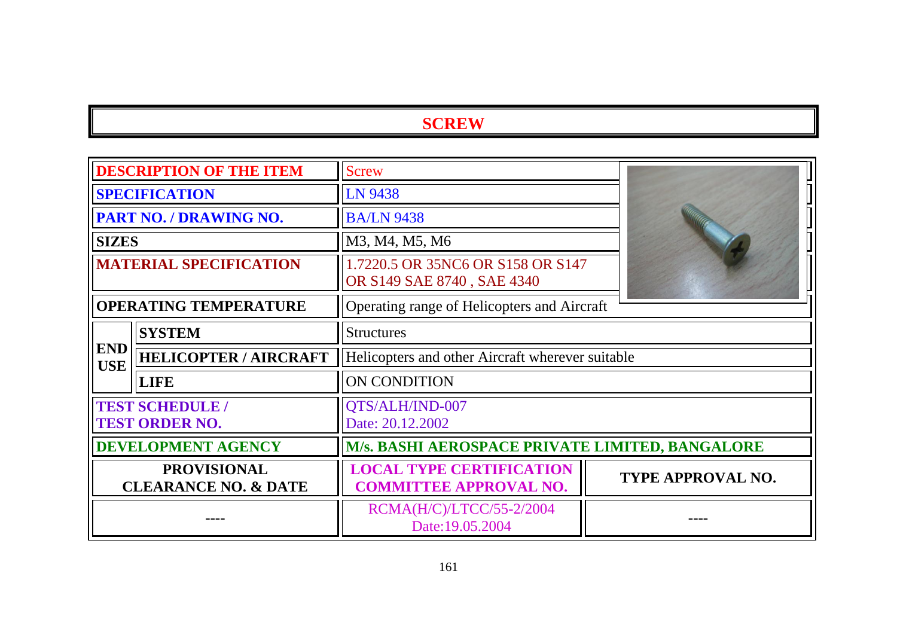| <b>DESCRIPTION OF THE ITEM</b>                        |                                                 | <b>Screw</b>                                                     |                          |
|-------------------------------------------------------|-------------------------------------------------|------------------------------------------------------------------|--------------------------|
|                                                       | <b>SPECIFICATION</b>                            | LN 9438                                                          |                          |
|                                                       | <b>PART NO. / DRAWING NO.</b>                   | <b>BA/LN 9438</b>                                                |                          |
| <b>SIZES</b>                                          |                                                 | M3, M4, M5, M6                                                   |                          |
| <b>MATERIAL SPECIFICATION</b>                         |                                                 | 1.7220.5 OR 35NC6 OR S158 OR S147<br>OR S149 SAE 8740, SAE 4340  |                          |
|                                                       | <b>OPERATING TEMPERATURE</b>                    | Operating range of Helicopters and Aircraft                      |                          |
| <b>SYSTEM</b><br><b>Structures</b>                    |                                                 |                                                                  |                          |
| <b>END</b><br><b>USE</b>                              | <b>HELICOPTER / AIRCRAFT</b>                    | Helicopters and other Aircraft wherever suitable                 |                          |
|                                                       | <b>LIFE</b>                                     | <b>ON CONDITION</b>                                              |                          |
|                                                       | <b>TEST SCHEDULE /</b><br><b>TEST ORDER NO.</b> | QTS/ALH/IND-007<br>Date: 20.12.2002                              |                          |
| <b>DEVELOPMENT AGENCY</b>                             |                                                 | M/s. BASHI AEROSPACE PRIVATE LIMITED, BANGALORE                  |                          |
| <b>PROVISIONAL</b><br><b>CLEARANCE NO. &amp; DATE</b> |                                                 | <b>LOCAL TYPE CERTIFICATION</b><br><b>COMMITTEE APPROVAL NO.</b> | <b>TYPE APPROVAL NO.</b> |
|                                                       |                                                 | RCMA(H/C)/LTCC/55-2/2004<br>Date:19.05.2004                      |                          |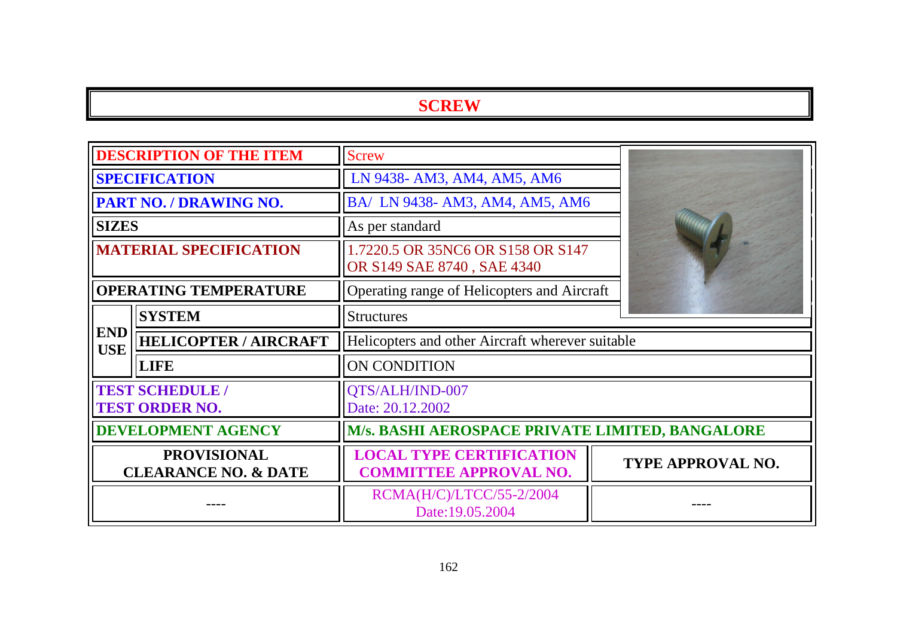| <b>DESCRIPTION OF THE ITEM</b>                        |                                                 | <b>Screw</b>                                                     |                   |  |
|-------------------------------------------------------|-------------------------------------------------|------------------------------------------------------------------|-------------------|--|
| <b>SPECIFICATION</b>                                  |                                                 | LN 9438- AM3, AM4, AM5, AM6                                      |                   |  |
|                                                       | <b>PART NO. / DRAWING NO.</b>                   | BA/ LN 9438- AM3, AM4, AM5, AM6                                  |                   |  |
| <b>SIZES</b>                                          |                                                 | As per standard                                                  |                   |  |
|                                                       | <b>MATERIAL SPECIFICATION</b>                   | 1.7220.5 OR 35NC6 OR S158 OR S147<br>OR S149 SAE 8740, SAE 4340  |                   |  |
|                                                       | <b>OPERATING TEMPERATURE</b>                    | Operating range of Helicopters and Aircraft                      |                   |  |
|                                                       | <b>SYSTEM</b>                                   | <b>Structures</b>                                                |                   |  |
| <b>END</b><br><b>USE</b>                              | <b>HELICOPTER / AIRCRAFT</b>                    | Helicopters and other Aircraft wherever suitable                 |                   |  |
|                                                       | <b>LIFE</b>                                     | ON CONDITION                                                     |                   |  |
|                                                       | <b>TEST SCHEDULE /</b><br><b>TEST ORDER NO.</b> | QTS/ALH/IND-007<br>Date: 20.12.2002                              |                   |  |
| <b>DEVELOPMENT AGENCY</b>                             |                                                 | <b>M/s. BASHI AEROSPACE PRIVATE LIMITED, BANGALORE</b>           |                   |  |
| <b>PROVISIONAL</b><br><b>CLEARANCE NO. &amp; DATE</b> |                                                 | <b>LOCAL TYPE CERTIFICATION</b><br><b>COMMITTEE APPROVAL NO.</b> | TYPE APPROVAL NO. |  |
|                                                       |                                                 | RCMA(H/C)/LTCC/55-2/2004<br>Date:19.05.2004                      |                   |  |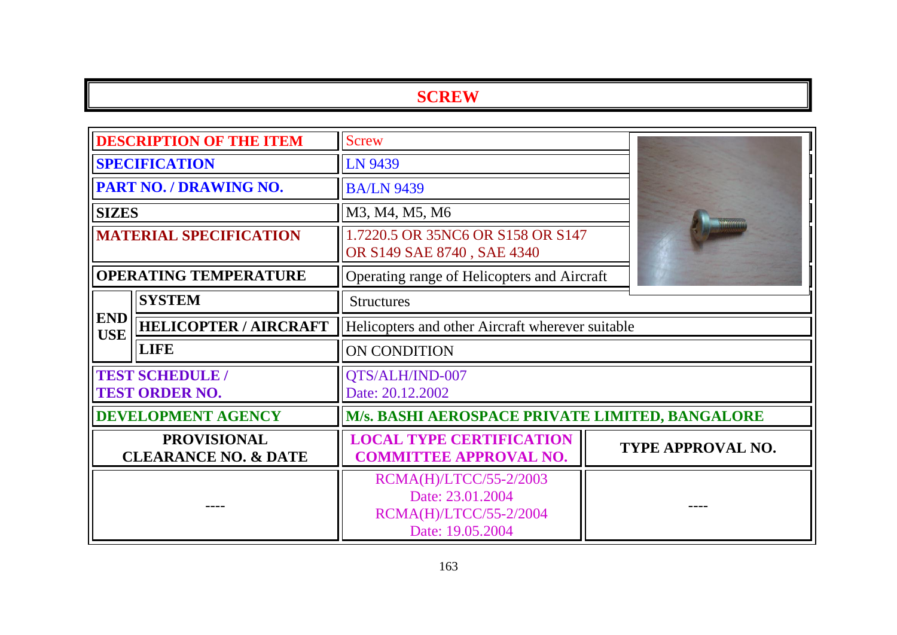|                                                       | <b>DESCRIPTION OF THE ITEM</b> | <b>Screw</b>                                                                             |  |                          |
|-------------------------------------------------------|--------------------------------|------------------------------------------------------------------------------------------|--|--------------------------|
| <b>SPECIFICATION</b>                                  |                                | LN 9439                                                                                  |  |                          |
|                                                       | PART NO. / DRAWING NO.         | <b>BA/LN 9439</b>                                                                        |  |                          |
| <b>SIZES</b>                                          |                                | M3, M4, M5, M6                                                                           |  |                          |
| <b>MATERIAL SPECIFICATION</b>                         |                                | 1.7220.5 OR 35NC6 OR S158 OR S147<br>OR S149 SAE 8740, SAE 4340                          |  |                          |
|                                                       | <b>OPERATING TEMPERATURE</b>   | Operating range of Helicopters and Aircraft                                              |  |                          |
|                                                       | <b>SYSTEM</b>                  | <b>Structures</b>                                                                        |  |                          |
| <b>END</b><br><b>USE</b>                              | <b>HELICOPTER / AIRCRAFT</b>   | Helicopters and other Aircraft wherever suitable                                         |  |                          |
|                                                       | <b>LIFE</b>                    | ON CONDITION                                                                             |  |                          |
| <b>TEST SCHEDULE /</b><br><b>TEST ORDER NO.</b>       |                                | QTS/ALH/IND-007<br>Date: 20.12.2002                                                      |  |                          |
|                                                       | <b>DEVELOPMENT AGENCY</b>      | M/s. BASHI AEROSPACE PRIVATE LIMITED, BANGALORE                                          |  |                          |
| <b>PROVISIONAL</b><br><b>CLEARANCE NO. &amp; DATE</b> |                                | <b>LOCAL TYPE CERTIFICATION</b><br><b>COMMITTEE APPROVAL NO.</b>                         |  | <b>TYPE APPROVAL NO.</b> |
|                                                       |                                | RCMA(H)/LTCC/55-2/2003<br>Date: 23.01.2004<br>RCMA(H)/LTCC/55-2/2004<br>Date: 19.05.2004 |  |                          |